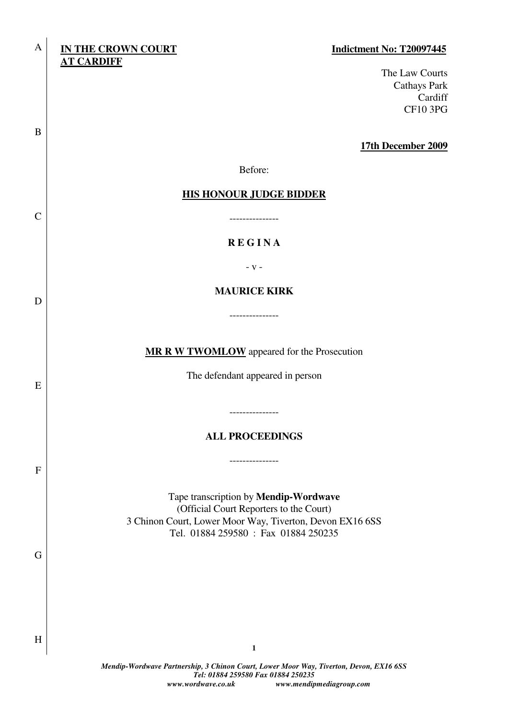# **1** A B C D E F G H **IN THE CROWN COURT Indictment No: T20097445 AT CARDIFF** The Law Courts Cathays Park **Cardiff** CF10 3PG **17th December 2009** Before: **HIS HONOUR JUDGE BIDDER** --------------- **R E G I N A** - v - **MAURICE KIRK**  --------------- **MR R W TWOMLOW** appeared for the Prosecution The defendant appeared in person --------------- **ALL PROCEEDINGS**  --------------- Tape transcription by **Mendip-Wordwave** (Official Court Reporters to the Court) 3 Chinon Court, Lower Moor Way, Tiverton, Devon EX16 6SS Tel. 01884 259580 : Fax 01884 250235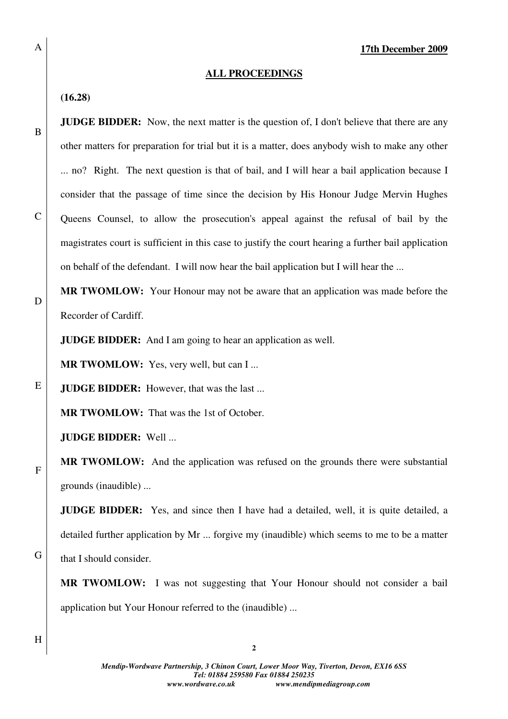#### **ALL PROCEEDINGS**

### **(16.28)**

**JUDGE BIDDER:** Now, the next matter is the question of, I don't believe that there are any other matters for preparation for trial but it is a matter, does anybody wish to make any other ... no? Right. The next question is that of bail, and I will hear a bail application because I consider that the passage of time since the decision by His Honour Judge Mervin Hughes Queens Counsel, to allow the prosecution's appeal against the refusal of bail by the magistrates court is sufficient in this case to justify the court hearing a further bail application on behalf of the defendant. I will now hear the bail application but I will hear the ...

**MR TWOMLOW:** Your Honour may not be aware that an application was made before the Recorder of Cardiff.

**JUDGE BIDDER:** And I am going to hear an application as well.

**MR TWOMLOW:** Yes, very well, but can I ...

**JUDGE BIDDER:** However, that was the last ...

**MR TWOMLOW:** That was the 1st of October.

**JUDGE BIDDER:** Well ...

**MR TWOMLOW:** And the application was refused on the grounds there were substantial grounds (inaudible) ...

**JUDGE BIDDER:** Yes, and since then I have had a detailed, well, it is quite detailed, a detailed further application by Mr ... forgive my (inaudible) which seems to me to be a matter that I should consider.

**MR TWOMLOW:** I was not suggesting that Your Honour should not consider a bail application but Your Honour referred to the (inaudible) ...

 $\mathcal{C}$ 

B

A

D



F

G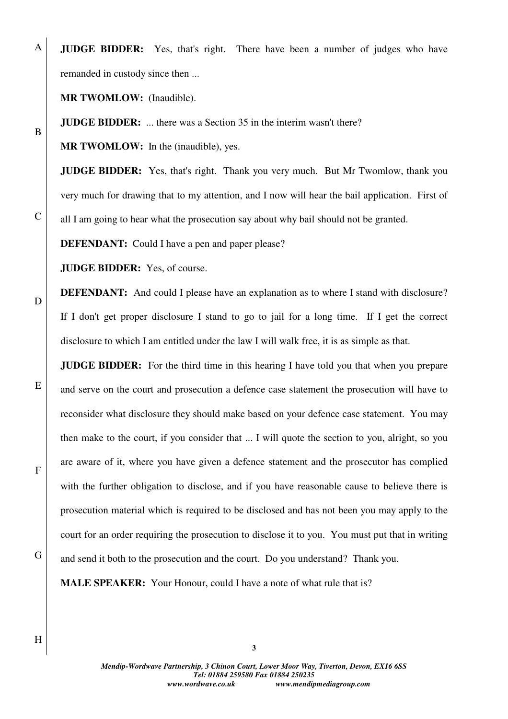**JUDGE BIDDER:** Yes, that's right. There have been a number of judges who have remanded in custody since then ...

**MR TWOMLOW:** (Inaudible).

**JUDGE BIDDER:** ... there was a Section 35 in the interim wasn't there?

**MR TWOMLOW:** In the (inaudible), yes.

**JUDGE BIDDER:** Yes, that's right. Thank you very much. But Mr Twomlow, thank you very much for drawing that to my attention, and I now will hear the bail application. First of all I am going to hear what the prosecution say about why bail should not be granted.

**DEFENDANT:** Could I have a pen and paper please?

**JUDGE BIDDER:** Yes, of course.

**DEFENDANT:** And could I please have an explanation as to where I stand with disclosure? If I don't get proper disclosure I stand to go to jail for a long time. If I get the correct disclosure to which I am entitled under the law I will walk free, it is as simple as that.

**JUDGE BIDDER:** For the third time in this hearing I have told you that when you prepare and serve on the court and prosecution a defence case statement the prosecution will have to reconsider what disclosure they should make based on your defence case statement. You may then make to the court, if you consider that ... I will quote the section to you, alright, so you are aware of it, where you have given a defence statement and the prosecutor has complied with the further obligation to disclose, and if you have reasonable cause to believe there is prosecution material which is required to be disclosed and has not been you may apply to the court for an order requiring the prosecution to disclose it to you. You must put that in writing and send it both to the prosecution and the court. Do you understand? Thank you.

**MALE SPEAKER:** Your Honour, could I have a note of what rule that is?

B

C

A

E

F

G

*Mendip-Wordwave Partnership, 3 Chinon Court, Lower Moor Way, Tiverton, Devon, EX16 6SS Tel: 01884 259580 Fax 01884 250235 www.wordwave.co.uk www.mendipmediagroup.com*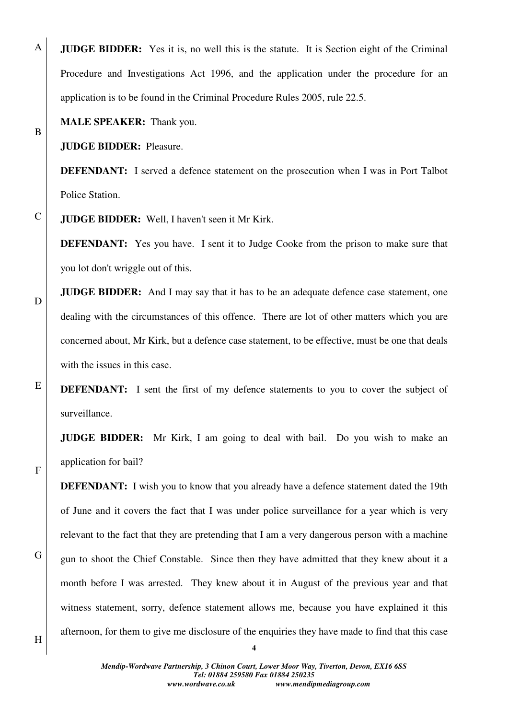**JUDGE BIDDER:** Yes it is, no well this is the statute. It is Section eight of the Criminal Procedure and Investigations Act 1996, and the application under the procedure for an application is to be found in the Criminal Procedure Rules 2005, rule 22.5.

**MALE SPEAKER:** Thank you.

**JUDGE BIDDER:** Pleasure.

**DEFENDANT:** I served a defence statement on the prosecution when I was in Port Talbot Police Station.

**JUDGE BIDDER:** Well, I haven't seen it Mr Kirk.

**DEFENDANT:** Yes you have. I sent it to Judge Cooke from the prison to make sure that you lot don't wriggle out of this.

**JUDGE BIDDER:** And I may say that it has to be an adequate defence case statement, one dealing with the circumstances of this offence. There are lot of other matters which you are concerned about, Mr Kirk, but a defence case statement, to be effective, must be one that deals with the issues in this case.

E **DEFENDANT:** I sent the first of my defence statements to you to cover the subject of surveillance.

**JUDGE BIDDER:** Mr Kirk, I am going to deal with bail. Do you wish to make an application for bail?

**DEFENDANT:** I wish you to know that you already have a defence statement dated the 19th of June and it covers the fact that I was under police surveillance for a year which is very relevant to the fact that they are pretending that I am a very dangerous person with a machine gun to shoot the Chief Constable. Since then they have admitted that they knew about it a month before I was arrested. They knew about it in August of the previous year and that witness statement, sorry, defence statement allows me, because you have explained it this afternoon, for them to give me disclosure of the enquiries they have made to find that this case

B

C

A

D



F

G

H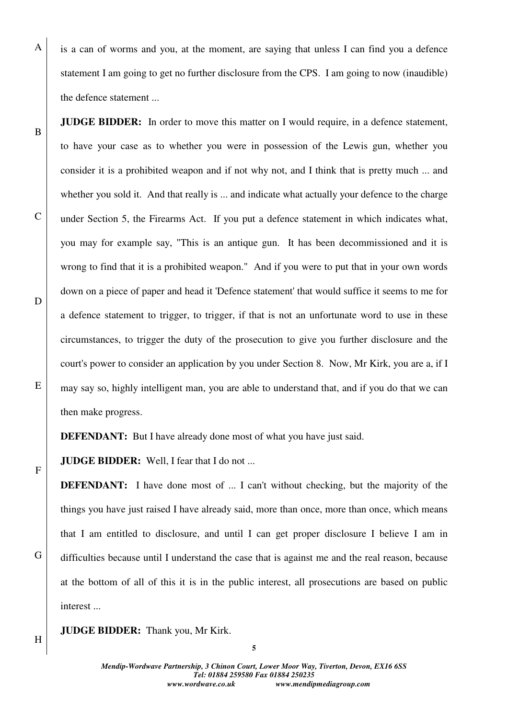is a can of worms and you, at the moment, are saying that unless I can find you a defence statement I am going to get no further disclosure from the CPS. I am going to now (inaudible) the defence statement ...

**JUDGE BIDDER:** In order to move this matter on I would require, in a defence statement, to have your case as to whether you were in possession of the Lewis gun, whether you consider it is a prohibited weapon and if not why not, and I think that is pretty much ... and whether you sold it. And that really is ... and indicate what actually your defence to the charge under Section 5, the Firearms Act. If you put a defence statement in which indicates what, you may for example say, "This is an antique gun. It has been decommissioned and it is wrong to find that it is a prohibited weapon." And if you were to put that in your own words down on a piece of paper and head it 'Defence statement' that would suffice it seems to me for a defence statement to trigger, to trigger, if that is not an unfortunate word to use in these circumstances, to trigger the duty of the prosecution to give you further disclosure and the court's power to consider an application by you under Section 8. Now, Mr Kirk, you are a, if I may say so, highly intelligent man, you are able to understand that, and if you do that we can then make progress.

**DEFENDANT:** But I have already done most of what you have just said.

**JUDGE BIDDER:** Well, I fear that I do not ...

A

B

C

D

E

F

G

H

**DEFENDANT:** I have done most of ... I can't without checking, but the majority of the things you have just raised I have already said, more than once, more than once, which means that I am entitled to disclosure, and until I can get proper disclosure I believe I am in difficulties because until I understand the case that is against me and the real reason, because at the bottom of all of this it is in the public interest, all prosecutions are based on public interest ...

**JUDGE BIDDER:** Thank you, Mr Kirk.

**5**

*Mendip-Wordwave Partnership, 3 Chinon Court, Lower Moor Way, Tiverton, Devon, EX16 6SS Tel: 01884 259580 Fax 01884 250235 www.wordwave.co.uk www.mendipmediagroup.com*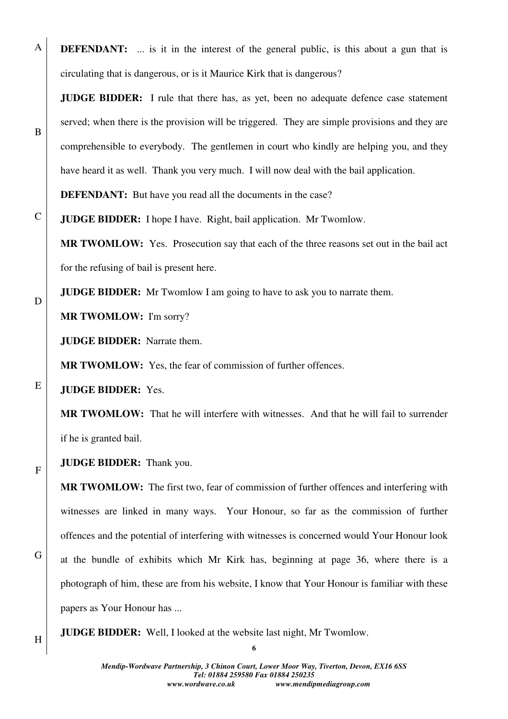**DEFENDANT:** ... is it in the interest of the general public, is this about a gun that is circulating that is dangerous, or is it Maurice Kirk that is dangerous?

**JUDGE BIDDER:** I rule that there has, as yet, been no adequate defence case statement served; when there is the provision will be triggered. They are simple provisions and they are comprehensible to everybody. The gentlemen in court who kindly are helping you, and they have heard it as well. Thank you very much. I will now deal with the bail application.

**DEFENDANT:** But have you read all the documents in the case?

**JUDGE BIDDER:** I hope I have. Right, bail application. Mr Twomlow.

**MR TWOMLOW:** Yes. Prosecution say that each of the three reasons set out in the bail act for the refusing of bail is present here.

**JUDGE BIDDER:** Mr Twomlow I am going to have to ask you to narrate them.

**MR TWOMLOW:** I'm sorry?

**JUDGE BIDDER:** Narrate them.

**MR TWOMLOW:** Yes, the fear of commission of further offences.

**JUDGE BIDDER:** Yes.

A

B

C

D

E

F

G

H

**MR TWOMLOW:** That he will interfere with witnesses. And that he will fail to surrender if he is granted bail.

**JUDGE BIDDER:** Thank you.

**MR TWOMLOW:** The first two, fear of commission of further offences and interfering with witnesses are linked in many ways. Your Honour, so far as the commission of further offences and the potential of interfering with witnesses is concerned would Your Honour look at the bundle of exhibits which Mr Kirk has, beginning at page 36, where there is a photograph of him, these are from his website, I know that Your Honour is familiar with these papers as Your Honour has ...

### **JUDGE BIDDER:** Well, I looked at the website last night, Mr Twomlow.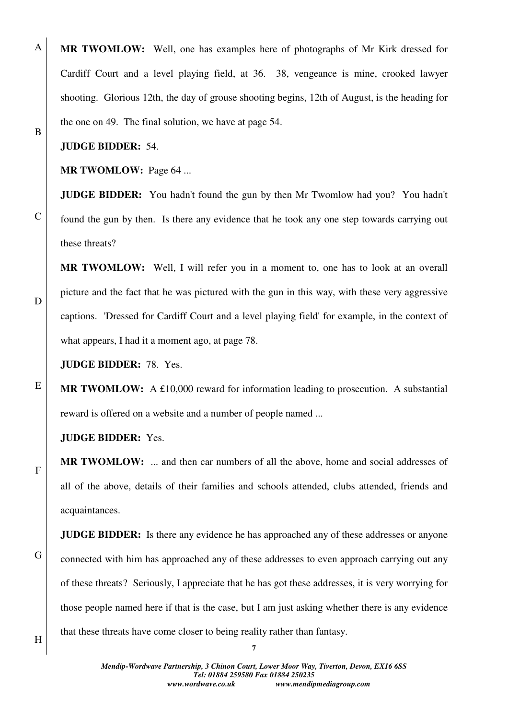**MR TWOMLOW:** Well, one has examples here of photographs of Mr Kirk dressed for Cardiff Court and a level playing field, at 36. 38, vengeance is mine, crooked lawyer shooting. Glorious 12th, the day of grouse shooting begins, 12th of August, is the heading for the one on 49. The final solution, we have at page 54.

**JUDGE BIDDER:** 54.

**MR TWOMLOW: Page 64 ...** 

**JUDGE BIDDER:** You hadn't found the gun by then Mr Twomlow had you? You hadn't found the gun by then. Is there any evidence that he took any one step towards carrying out these threats?

**MR TWOMLOW:** Well, I will refer you in a moment to, one has to look at an overall picture and the fact that he was pictured with the gun in this way, with these very aggressive captions. 'Dressed for Cardiff Court and a level playing field' for example, in the context of what appears, I had it a moment ago, at page 78.

**JUDGE BIDDER:** 78. Yes.

**MR TWOMLOW:** A £10,000 reward for information leading to prosecution. A substantial reward is offered on a website and a number of people named ...

**JUDGE BIDDER:** Yes.

**MR TWOMLOW:** ... and then car numbers of all the above, home and social addresses of all of the above, details of their families and schools attended, clubs attended, friends and acquaintances.

**JUDGE BIDDER:** Is there any evidence he has approached any of these addresses or anyone connected with him has approached any of these addresses to even approach carrying out any of these threats? Seriously, I appreciate that he has got these addresses, it is very worrying for those people named here if that is the case, but I am just asking whether there is any evidence that these threats have come closer to being reality rather than fantasy.

C

B

A

D



E

F

G

H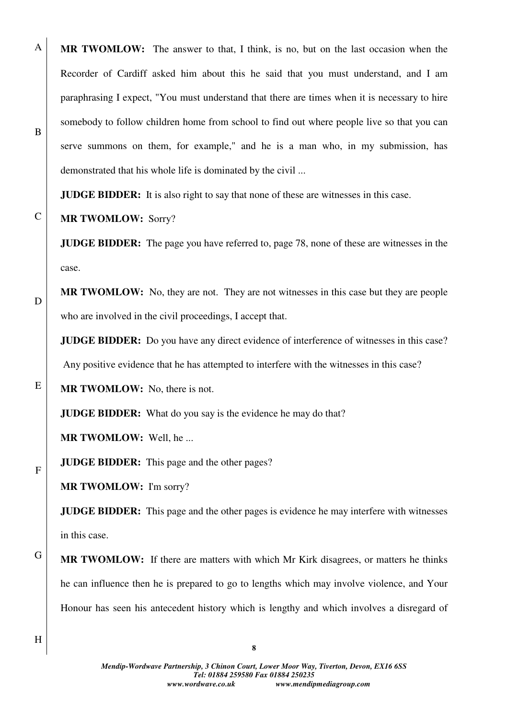**MR TWOMLOW:** The answer to that, I think, is no, but on the last occasion when the Recorder of Cardiff asked him about this he said that you must understand, and I am paraphrasing I expect, "You must understand that there are times when it is necessary to hire somebody to follow children home from school to find out where people live so that you can serve summons on them, for example," and he is a man who, in my submission, has demonstrated that his whole life is dominated by the civil ...

**JUDGE BIDDER:** It is also right to say that none of these are witnesses in this case.

**MR TWOMLOW:** Sorry?

A

B

C

D

F

**JUDGE BIDDER:** The page you have referred to, page 78, none of these are witnesses in the case.

**MR TWOMLOW:** No, they are not. They are not witnesses in this case but they are people who are involved in the civil proceedings, I accept that.

**JUDGE BIDDER:** Do you have any direct evidence of interference of witnesses in this case? Any positive evidence that he has attempted to interfere with the witnesses in this case?

E **MR TWOMLOW:** No, there is not.

**JUDGE BIDDER:** What do you say is the evidence he may do that?

**MR TWOMLOW:** Well, he ...

**JUDGE BIDDER:** This page and the other pages?

**MR TWOMLOW:** I'm sorry?

**JUDGE BIDDER:** This page and the other pages is evidence he may interfere with witnesses in this case.

G **MR TWOMLOW:** If there are matters with which Mr Kirk disagrees, or matters he thinks he can influence then he is prepared to go to lengths which may involve violence, and Your Honour has seen his antecedent history which is lengthy and which involves a disregard of

H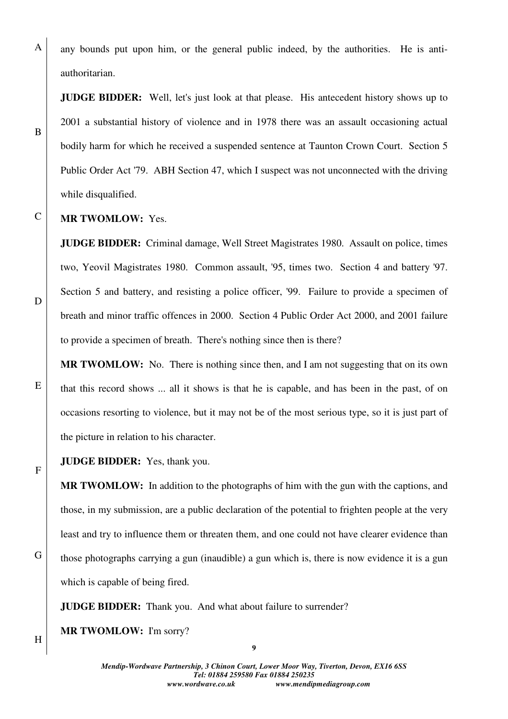any bounds put upon him, or the general public indeed, by the authorities. He is antiauthoritarian.

**JUDGE BIDDER:** Well, let's just look at that please. His antecedent history shows up to 2001 a substantial history of violence and in 1978 there was an assault occasioning actual bodily harm for which he received a suspended sentence at Taunton Crown Court. Section 5 Public Order Act '79. ABH Section 47, which I suspect was not unconnected with the driving while disqualified.

### **MR TWOMLOW:** Yes.

**JUDGE BIDDER:** Criminal damage, Well Street Magistrates 1980. Assault on police, times two, Yeovil Magistrates 1980. Common assault, '95, times two. Section 4 and battery '97. Section 5 and battery, and resisting a police officer, '99. Failure to provide a specimen of breath and minor traffic offences in 2000. Section 4 Public Order Act 2000, and 2001 failure to provide a specimen of breath. There's nothing since then is there?

**MR TWOMLOW:** No. There is nothing since then, and I am not suggesting that on its own that this record shows ... all it shows is that he is capable, and has been in the past, of on occasions resorting to violence, but it may not be of the most serious type, so it is just part of the picture in relation to his character.

**JUDGE BIDDER:** Yes, thank you.

**MR TWOMLOW:** In addition to the photographs of him with the gun with the captions, and those, in my submission, are a public declaration of the potential to frighten people at the very least and try to influence them or threaten them, and one could not have clearer evidence than those photographs carrying a gun (inaudible) a gun which is, there is now evidence it is a gun which is capable of being fired.

**JUDGE BIDDER:** Thank you. And what about failure to surrender?

**MR TWOMLOW:** I'm sorry?

B

C

A

D



F

G

E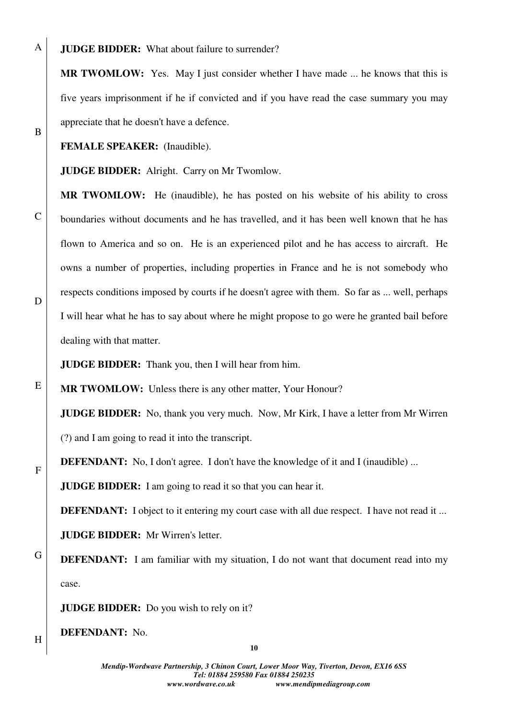### **JUDGE BIDDER:** What about failure to surrender?

**MR TWOMLOW:** Yes. May I just consider whether I have made ... he knows that this is five years imprisonment if he if convicted and if you have read the case summary you may appreciate that he doesn't have a defence.

**FEMALE SPEAKER:** (Inaudible).

**JUDGE BIDDER:** Alright. Carry on Mr Twomlow.

**MR TWOMLOW:** He (inaudible), he has posted on his website of his ability to cross boundaries without documents and he has travelled, and it has been well known that he has flown to America and so on. He is an experienced pilot and he has access to aircraft. He owns a number of properties, including properties in France and he is not somebody who respects conditions imposed by courts if he doesn't agree with them. So far as ... well, perhaps I will hear what he has to say about where he might propose to go were he granted bail before dealing with that matter.

**JUDGE BIDDER:** Thank you, then I will hear from him.

**MR TWOMLOW:** Unless there is any other matter, Your Honour?

**JUDGE BIDDER:** No, thank you very much. Now, Mr Kirk, I have a letter from Mr Wirren (?) and I am going to read it into the transcript.

**DEFENDANT:** No, I don't agree. I don't have the knowledge of it and I (inaudible) ...

**JUDGE BIDDER:** I am going to read it so that you can hear it.

**DEFENDANT:** I object to it entering my court case with all due respect. I have not read it ...

**JUDGE BIDDER:** Mr Wirren's letter.

G **DEFENDANT:** I am familiar with my situation, I do not want that document read into my case.

**JUDGE BIDDER:** Do you wish to rely on it?

**DEFENDANT:** No.

**10**

*Mendip-Wordwave Partnership, 3 Chinon Court, Lower Moor Way, Tiverton, Devon, EX16 6SS Tel: 01884 259580 Fax 01884 250235 www.wordwave.co.uk www.mendipmediagroup.com* 

A

B

C

D

E

F

H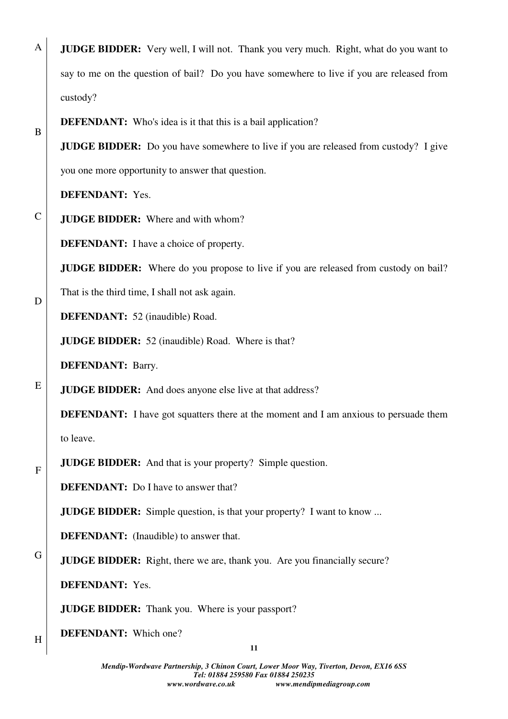A **JUDGE BIDDER:** Very well, I will not. Thank you very much. Right, what do you want to say to me on the question of bail? Do you have somewhere to live if you are released from custody?

**DEFENDANT:** Who's idea is it that this is a bail application?

**JUDGE BIDDER:** Do you have somewhere to live if you are released from custody? I give you one more opportunity to answer that question.

**DEFENDANT:** Yes.

B

C

D

E

F

G

H

**JUDGE BIDDER:** Where and with whom?

**DEFENDANT:** I have a choice of property.

**JUDGE BIDDER:** Where do you propose to live if you are released from custody on bail?

That is the third time, I shall not ask again.

**DEFENDANT:** 52 (inaudible) Road.

**JUDGE BIDDER:** 52 (inaudible) Road. Where is that?

**DEFENDANT:** Barry.

**JUDGE BIDDER:** And does anyone else live at that address?

**DEFENDANT:** I have got squatters there at the moment and I am anxious to persuade them to leave.

**JUDGE BIDDER:** And that is your property? Simple question.

**DEFENDANT:** Do I have to answer that?

**JUDGE BIDDER:** Simple question, is that your property? I want to know ...

**DEFENDANT:** (Inaudible) to answer that.

**JUDGE BIDDER:** Right, there we are, thank you. Are you financially secure?

**DEFENDANT:** Yes.

**JUDGE BIDDER:** Thank you. Where is your passport?

**DEFENDANT:** Which one?

**11**

*Mendip-Wordwave Partnership, 3 Chinon Court, Lower Moor Way, Tiverton, Devon, EX16 6SS Tel: 01884 259580 Fax 01884 250235 www.wordwave.co.uk www.mendipmediagroup.com*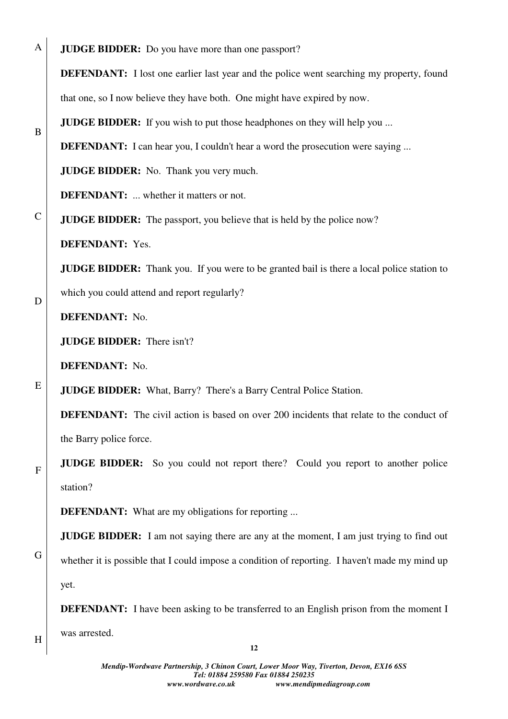### **JUDGE BIDDER:** Do you have more than one passport?

**DEFENDANT:** I lost one earlier last year and the police went searching my property, found that one, so I now believe they have both. One might have expired by now.

**JUDGE BIDDER:** If you wish to put those headphones on they will help you ...

**DEFENDANT:** I can hear you, I couldn't hear a word the prosecution were saying ...

**JUDGE BIDDER:** No. Thank you very much.

**DEFENDANT:** ... whether it matters or not.

**JUDGE BIDDER:** The passport, you believe that is held by the police now?

**DEFENDANT:** Yes.

A

B

C

D

E

F

G

H

**JUDGE BIDDER:** Thank you. If you were to be granted bail is there a local police station to which you could attend and report regularly?

**DEFENDANT:** No.

**JUDGE BIDDER:** There isn't?

**DEFENDANT:** No.

**JUDGE BIDDER:** What, Barry? There's a Barry Central Police Station.

**DEFENDANT:** The civil action is based on over 200 incidents that relate to the conduct of the Barry police force.

**JUDGE BIDDER:** So you could not report there? Could you report to another police station?

**DEFENDANT:** What are my obligations for reporting ...

**JUDGE BIDDER:** I am not saying there are any at the moment, I am just trying to find out whether it is possible that I could impose a condition of reporting. I haven't made my mind up yet.

**DEFENDANT:** I have been asking to be transferred to an English prison from the moment I was arrested.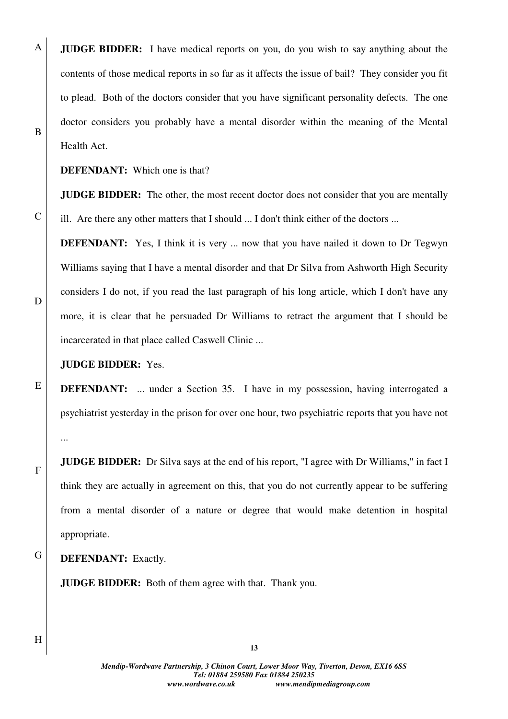**JUDGE BIDDER:** I have medical reports on you, do you wish to say anything about the contents of those medical reports in so far as it affects the issue of bail? They consider you fit to plead. Both of the doctors consider that you have significant personality defects. The one doctor considers you probably have a mental disorder within the meaning of the Mental Health Act.

**DEFENDANT:** Which one is that?

**JUDGE BIDDER:** The other, the most recent doctor does not consider that you are mentally ill. Are there any other matters that I should ... I don't think either of the doctors ...

**DEFENDANT:** Yes, I think it is very ... now that you have nailed it down to Dr Tegwyn Williams saying that I have a mental disorder and that Dr Silva from Ashworth High Security considers I do not, if you read the last paragraph of his long article, which I don't have any more, it is clear that he persuaded Dr Williams to retract the argument that I should be incarcerated in that place called Caswell Clinic ...

**JUDGE BIDDER:** Yes.

**DEFENDANT:** ... under a Section 35. I have in my possession, having interrogated a psychiatrist yesterday in the prison for over one hour, two psychiatric reports that you have not ...

**JUDGE BIDDER:** Dr Silva says at the end of his report, "I agree with Dr Williams," in fact I think they are actually in agreement on this, that you do not currently appear to be suffering from a mental disorder of a nature or degree that would make detention in hospital appropriate.

#### G **DEFENDANT:** Exactly.

**JUDGE BIDDER:** Both of them agree with that. Thank you.

C

A

B



D



F

H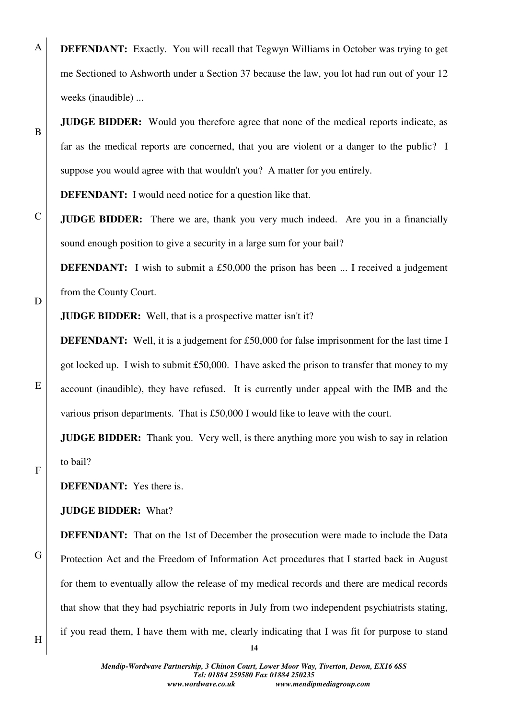**DEFENDANT:** Exactly. You will recall that Tegwyn Williams in October was trying to get me Sectioned to Ashworth under a Section 37 because the law, you lot had run out of your 12 weeks (inaudible) ...

**JUDGE BIDDER:** Would you therefore agree that none of the medical reports indicate, as far as the medical reports are concerned, that you are violent or a danger to the public? I suppose you would agree with that wouldn't you? A matter for you entirely.

**DEFENDANT:** I would need notice for a question like that.

**JUDGE BIDDER:** There we are, thank you very much indeed. Are you in a financially sound enough position to give a security in a large sum for your bail?

**DEFENDANT:** I wish to submit a £50,000 the prison has been ... I received a judgement from the County Court.

**JUDGE BIDDER:** Well, that is a prospective matter isn't it?

**DEFENDANT:** Well, it is a judgement for £50,000 for false imprisonment for the last time I got locked up. I wish to submit £50,000. I have asked the prison to transfer that money to my account (inaudible), they have refused. It is currently under appeal with the IMB and the various prison departments. That is £50,000 I would like to leave with the court.

**JUDGE BIDDER:** Thank you. Very well, is there anything more you wish to say in relation to bail?

**DEFENDANT:** Yes there is.

**JUDGE BIDDER:** What?

**DEFENDANT:** That on the 1st of December the prosecution were made to include the Data Protection Act and the Freedom of Information Act procedures that I started back in August for them to eventually allow the release of my medical records and there are medical records that show that they had psychiatric reports in July from two independent psychiatrists stating, if you read them, I have them with me, clearly indicating that I was fit for purpose to stand

H

G

A

B

C

D

E

F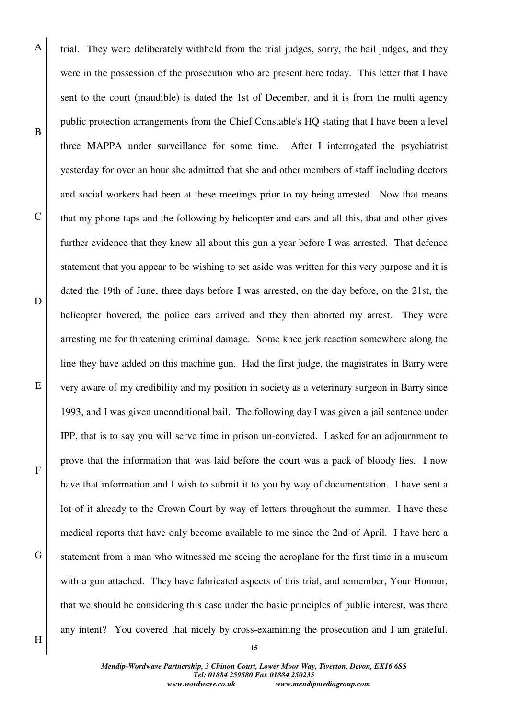trial. They were deliberately withheld from the trial judges, sorry, the bail judges, and they were in the possession of the prosecution who are present here today. This letter that I have sent to the court (inaudible) is dated the 1st of December, and it is from the multi agency public protection arrangements from the Chief Constable's HQ stating that I have been a level three MAPPA under surveillance for some time. After I interrogated the psychiatrist yesterday for over an hour she admitted that she and other members of staff including doctors and social workers had been at these meetings prior to my being arrested. Now that means that my phone taps and the following by helicopter and cars and all this, that and other gives further evidence that they knew all about this gun a year before I was arrested. That defence statement that you appear to be wishing to set aside was written for this very purpose and it is dated the 19th of June, three days before I was arrested, on the day before, on the 21st, the helicopter hovered, the police cars arrived and they then aborted my arrest. They were arresting me for threatening criminal damage. Some knee jerk reaction somewhere along the line they have added on this machine gun. Had the first judge, the magistrates in Barry were very aware of my credibility and my position in society as a veterinary surgeon in Barry since 1993, and I was given unconditional bail. The following day I was given a jail sentence under IPP, that is to say you will serve time in prison un-convicted. I asked for an adjournment to prove that the information that was laid before the court was a pack of bloody lies. I now have that information and I wish to submit it to you by way of documentation. I have sent a lot of it already to the Crown Court by way of letters throughout the summer. I have these medical reports that have only become available to me since the 2nd of April. I have here a statement from a man who witnessed me seeing the aeroplane for the first time in a museum with a gun attached. They have fabricated aspects of this trial, and remember, Your Honour, that we should be considering this case under the basic principles of public interest, was there any intent? You covered that nicely by cross-examining the prosecution and I am grateful.

G

A

B

C

D

E

F

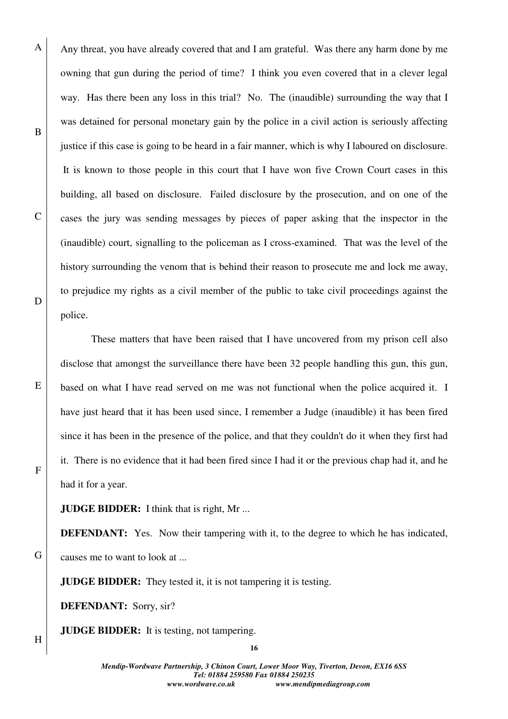Any threat, you have already covered that and I am grateful. Was there any harm done by me owning that gun during the period of time? I think you even covered that in a clever legal way. Has there been any loss in this trial? No. The (inaudible) surrounding the way that I was detained for personal monetary gain by the police in a civil action is seriously affecting justice if this case is going to be heard in a fair manner, which is why I laboured on disclosure. It is known to those people in this court that I have won five Crown Court cases in this building, all based on disclosure. Failed disclosure by the prosecution, and on one of the cases the jury was sending messages by pieces of paper asking that the inspector in the (inaudible) court, signalling to the policeman as I cross-examined. That was the level of the history surrounding the venom that is behind their reason to prosecute me and lock me away, to prejudice my rights as a civil member of the public to take civil proceedings against the police.

 These matters that have been raised that I have uncovered from my prison cell also disclose that amongst the surveillance there have been 32 people handling this gun, this gun, based on what I have read served on me was not functional when the police acquired it. I have just heard that it has been used since, I remember a Judge (inaudible) it has been fired since it has been in the presence of the police, and that they couldn't do it when they first had it. There is no evidence that it had been fired since I had it or the previous chap had it, and he had it for a year.

**JUDGE BIDDER:** I think that is right, Mr ...

**DEFENDANT:** Yes. Now their tampering with it, to the degree to which he has indicated, causes me to want to look at ...

**JUDGE BIDDER:** They tested it, it is not tampering it is testing.

**DEFENDANT:** Sorry, sir?

**JUDGE BIDDER:** It is testing, not tampering.

H

A

B

C

D

E

F

G

*Mendip-Wordwave Partnership, 3 Chinon Court, Lower Moor Way, Tiverton, Devon, EX16 6SS Tel: 01884 259580 Fax 01884 250235 www.wordwave.co.uk www.mendipmediagroup.com*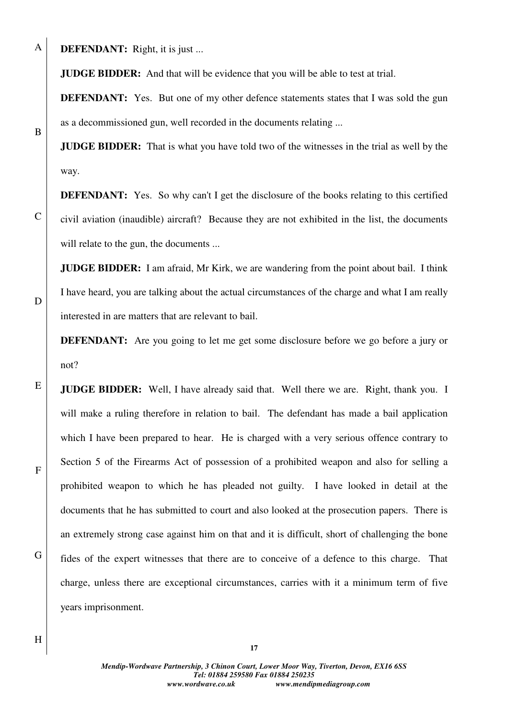**DEFENDANT:** Right, it is just ...

**JUDGE BIDDER:** And that will be evidence that you will be able to test at trial.

**DEFENDANT:** Yes. But one of my other defence statements states that I was sold the gun as a decommissioned gun, well recorded in the documents relating ...

**JUDGE BIDDER:** That is what you have told two of the witnesses in the trial as well by the way.

**DEFENDANT:** Yes. So why can't I get the disclosure of the books relating to this certified civil aviation (inaudible) aircraft? Because they are not exhibited in the list, the documents will relate to the gun, the documents ...

**JUDGE BIDDER:** I am afraid, Mr Kirk, we are wandering from the point about bail. I think I have heard, you are talking about the actual circumstances of the charge and what I am really interested in are matters that are relevant to bail.

**DEFENDANT:** Are you going to let me get some disclosure before we go before a jury or not?

E G **JUDGE BIDDER:** Well, I have already said that. Well there we are. Right, thank you. I will make a ruling therefore in relation to bail. The defendant has made a bail application which I have been prepared to hear. He is charged with a very serious offence contrary to Section 5 of the Firearms Act of possession of a prohibited weapon and also for selling a prohibited weapon to which he has pleaded not guilty. I have looked in detail at the documents that he has submitted to court and also looked at the prosecution papers. There is an extremely strong case against him on that and it is difficult, short of challenging the bone fides of the expert witnesses that there are to conceive of a defence to this charge. That charge, unless there are exceptional circumstances, carries with it a minimum term of five years imprisonment.

A

D

C



F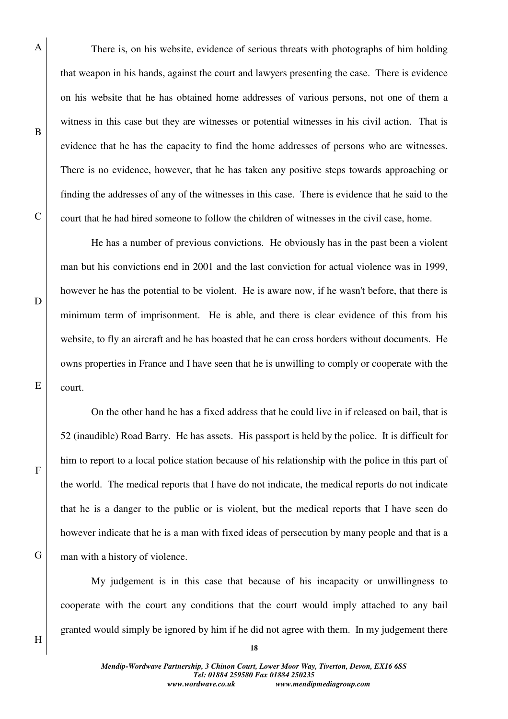There is, on his website, evidence of serious threats with photographs of him holding that weapon in his hands, against the court and lawyers presenting the case. There is evidence on his website that he has obtained home addresses of various persons, not one of them a witness in this case but they are witnesses or potential witnesses in his civil action. That is evidence that he has the capacity to find the home addresses of persons who are witnesses. There is no evidence, however, that he has taken any positive steps towards approaching or finding the addresses of any of the witnesses in this case. There is evidence that he said to the court that he had hired someone to follow the children of witnesses in the civil case, home.

 He has a number of previous convictions. He obviously has in the past been a violent man but his convictions end in 2001 and the last conviction for actual violence was in 1999, however he has the potential to be violent. He is aware now, if he wasn't before, that there is minimum term of imprisonment. He is able, and there is clear evidence of this from his website, to fly an aircraft and he has boasted that he can cross borders without documents. He owns properties in France and I have seen that he is unwilling to comply or cooperate with the court.

 On the other hand he has a fixed address that he could live in if released on bail, that is 52 (inaudible) Road Barry. He has assets. His passport is held by the police. It is difficult for him to report to a local police station because of his relationship with the police in this part of the world. The medical reports that I have do not indicate, the medical reports do not indicate that he is a danger to the public or is violent, but the medical reports that I have seen do however indicate that he is a man with fixed ideas of persecution by many people and that is a man with a history of violence.

 My judgement is in this case that because of his incapacity or unwillingness to cooperate with the court any conditions that the court would imply attached to any bail granted would simply be ignored by him if he did not agree with them. In my judgement there

H

A

B

C

D

E

F

G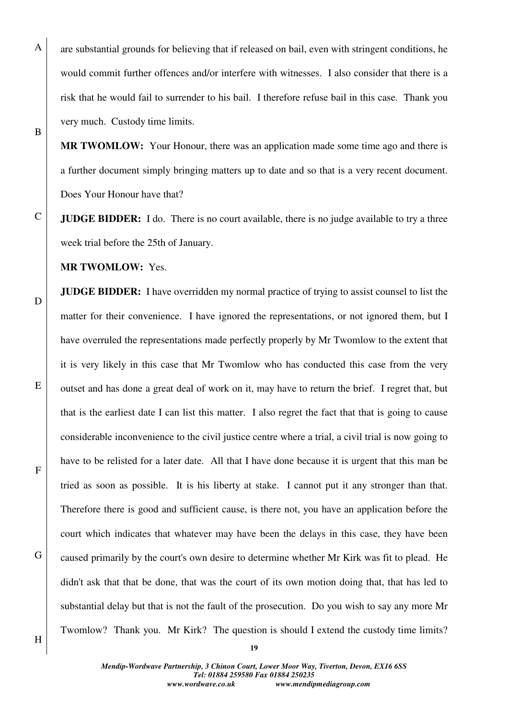are substantial grounds for believing that if released on bail, even with stringent conditions, he would commit further offences and/or interfere with witnesses. I also consider that there is a risk that he would fail to surrender to his bail. I therefore refuse bail in this case. Thank you very much. Custody time limits.

**MR TWOMLOW:** Your Honour, there was an application made some time ago and there is a further document simply bringing matters up to date and so that is a very recent document. Does Your Honour have that?

**JUDGE BIDDER:** I do. There is no court available, there is no judge available to try a three week trial before the 25th of January.

**MR TWOMLOW:** Yes.

**JUDGE BIDDER:** I have overridden my normal practice of trying to assist counsel to list the matter for their convenience. I have ignored the representations, or not ignored them, but I have overruled the representations made perfectly properly by Mr Twomlow to the extent that it is very likely in this case that Mr Twomlow who has conducted this case from the very outset and has done a great deal of work on it, may have to return the brief. I regret that, but that is the earliest date I can list this matter. I also regret the fact that that is going to cause considerable inconvenience to the civil justice centre where a trial, a civil trial is now going to have to be relisted for a later date. All that I have done because it is urgent that this man be tried as soon as possible. It is his liberty at stake. I cannot put it any stronger than that. Therefore there is good and sufficient cause, is there not, you have an application before the court which indicates that whatever may have been the delays in this case, they have been caused primarily by the court's own desire to determine whether Mr Kirk was fit to plead. He didn't ask that that be done, that was the court of its own motion doing that, that has led to substantial delay but that is not the fault of the prosecution. Do you wish to say any more Mr Twomlow? Thank you. Mr Kirk? The question is should I extend the custody time limits?

A

B

C

E

D

H

G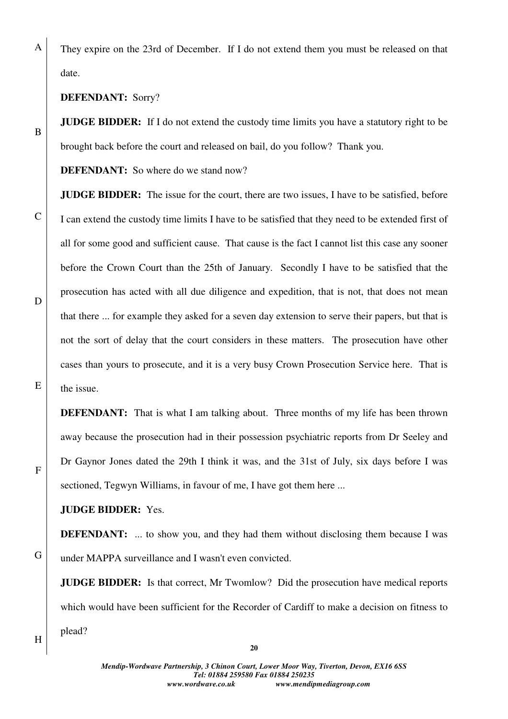They expire on the 23rd of December. If I do not extend them you must be released on that date.

### **DEFENDANT:** Sorry?

A

B

C

D

E

F

G

H

**JUDGE BIDDER:** If I do not extend the custody time limits you have a statutory right to be brought back before the court and released on bail, do you follow? Thank you.

**DEFENDANT:** So where do we stand now?

**JUDGE BIDDER:** The issue for the court, there are two issues, I have to be satisfied, before I can extend the custody time limits I have to be satisfied that they need to be extended first of all for some good and sufficient cause. That cause is the fact I cannot list this case any sooner before the Crown Court than the 25th of January. Secondly I have to be satisfied that the prosecution has acted with all due diligence and expedition, that is not, that does not mean that there ... for example they asked for a seven day extension to serve their papers, but that is not the sort of delay that the court considers in these matters. The prosecution have other cases than yours to prosecute, and it is a very busy Crown Prosecution Service here. That is the issue.

**DEFENDANT:** That is what I am talking about. Three months of my life has been thrown away because the prosecution had in their possession psychiatric reports from Dr Seeley and Dr Gaynor Jones dated the 29th I think it was, and the 31st of July, six days before I was sectioned, Tegwyn Williams, in favour of me, I have got them here ...

**JUDGE BIDDER:** Yes.

**DEFENDANT:** ... to show you, and they had them without disclosing them because I was under MAPPA surveillance and I wasn't even convicted.

**JUDGE BIDDER:** Is that correct, Mr Twomlow? Did the prosecution have medical reports which would have been sufficient for the Recorder of Cardiff to make a decision on fitness to plead?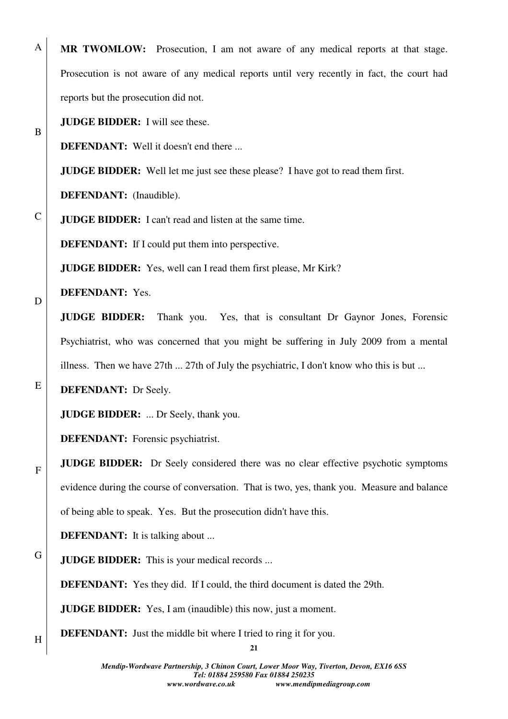A **MR TWOMLOW:** Prosecution, I am not aware of any medical reports at that stage. Prosecution is not aware of any medical reports until very recently in fact, the court had reports but the prosecution did not.

**JUDGE BIDDER:** I will see these.

**DEFENDANT:** Well it doesn't end there ...

**JUDGE BIDDER:** Well let me just see these please? I have got to read them first.

**DEFENDANT:** (Inaudible).

**JUDGE BIDDER:** I can't read and listen at the same time.

**DEFENDANT:** If I could put them into perspective.

**JUDGE BIDDER:** Yes, well can I read them first please, Mr Kirk?

**DEFENDANT:** Yes.

B

C

D

F

G

H

**JUDGE BIDDER:** Thank you. Yes, that is consultant Dr Gaynor Jones, Forensic Psychiatrist, who was concerned that you might be suffering in July 2009 from a mental illness. Then we have 27th ... 27th of July the psychiatric, I don't know who this is but ...

E **DEFENDANT:** Dr Seely.

**JUDGE BIDDER:** ... Dr Seely, thank you.

**DEFENDANT:** Forensic psychiatrist.

**JUDGE BIDDER:** Dr Seely considered there was no clear effective psychotic symptoms evidence during the course of conversation. That is two, yes, thank you. Measure and balance of being able to speak. Yes. But the prosecution didn't have this.

**DEFENDANT:** It is talking about ...

**JUDGE BIDDER:** This is your medical records ...

**DEFENDANT:** Yes they did. If I could, the third document is dated the 29th.

**JUDGE BIDDER:** Yes, I am (inaudible) this now, just a moment.

**DEFENDANT:** Just the middle bit where I tried to ring it for you.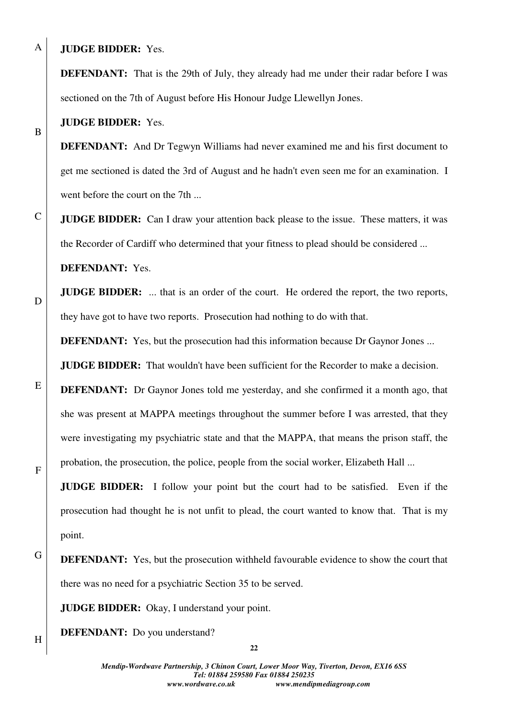**JUDGE BIDDER:** Yes.

A

B

C

D

E

F

H

**DEFENDANT:** That is the 29th of July, they already had me under their radar before I was sectioned on the 7th of August before His Honour Judge Llewellyn Jones.

**JUDGE BIDDER:** Yes.

**DEFENDANT:** And Dr Tegwyn Williams had never examined me and his first document to get me sectioned is dated the 3rd of August and he hadn't even seen me for an examination. I went before the court on the 7<sup>th</sup> ...

**JUDGE BIDDER:** Can I draw your attention back please to the issue. These matters, it was the Recorder of Cardiff who determined that your fitness to plead should be considered ...

**DEFENDANT:** Yes.

**JUDGE BIDDER:** ... that is an order of the court. He ordered the report, the two reports, they have got to have two reports. Prosecution had nothing to do with that.

**DEFENDANT:** Yes, but the prosecution had this information because Dr Gaynor Jones ...

**JUDGE BIDDER:** That wouldn't have been sufficient for the Recorder to make a decision.

**DEFENDANT:** Dr Gaynor Jones told me yesterday, and she confirmed it a month ago, that she was present at MAPPA meetings throughout the summer before I was arrested, that they were investigating my psychiatric state and that the MAPPA, that means the prison staff, the probation, the prosecution, the police, people from the social worker, Elizabeth Hall ...

**JUDGE BIDDER:** I follow your point but the court had to be satisfied. Even if the prosecution had thought he is not unfit to plead, the court wanted to know that. That is my point.

G **DEFENDANT:** Yes, but the prosecution withheld favourable evidence to show the court that there was no need for a psychiatric Section 35 to be served.

**JUDGE BIDDER:** Okay, I understand your point.

**DEFENDANT:** Do you understand?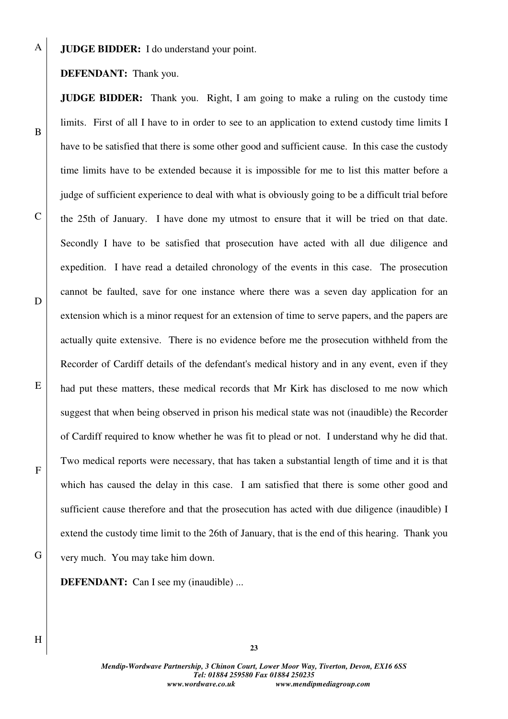B

C

D

E

F

### **DEFENDANT:** Thank you.

**JUDGE BIDDER:** Thank you. Right, I am going to make a ruling on the custody time limits. First of all I have to in order to see to an application to extend custody time limits I have to be satisfied that there is some other good and sufficient cause. In this case the custody time limits have to be extended because it is impossible for me to list this matter before a judge of sufficient experience to deal with what is obviously going to be a difficult trial before the 25th of January. I have done my utmost to ensure that it will be tried on that date. Secondly I have to be satisfied that prosecution have acted with all due diligence and expedition. I have read a detailed chronology of the events in this case. The prosecution cannot be faulted, save for one instance where there was a seven day application for an extension which is a minor request for an extension of time to serve papers, and the papers are actually quite extensive. There is no evidence before me the prosecution withheld from the Recorder of Cardiff details of the defendant's medical history and in any event, even if they had put these matters, these medical records that Mr Kirk has disclosed to me now which suggest that when being observed in prison his medical state was not (inaudible) the Recorder of Cardiff required to know whether he was fit to plead or not. I understand why he did that. Two medical reports were necessary, that has taken a substantial length of time and it is that which has caused the delay in this case. I am satisfied that there is some other good and sufficient cause therefore and that the prosecution has acted with due diligence (inaudible) I extend the custody time limit to the 26th of January, that is the end of this hearing. Thank you very much. You may take him down.

**DEFENDANT:** Can I see my (inaudible) ...



G

*Mendip-Wordwave Partnership, 3 Chinon Court, Lower Moor Way, Tiverton, Devon, EX16 6SS Tel: 01884 259580 Fax 01884 250235 www.wordwave.co.uk www.mendipmediagroup.com*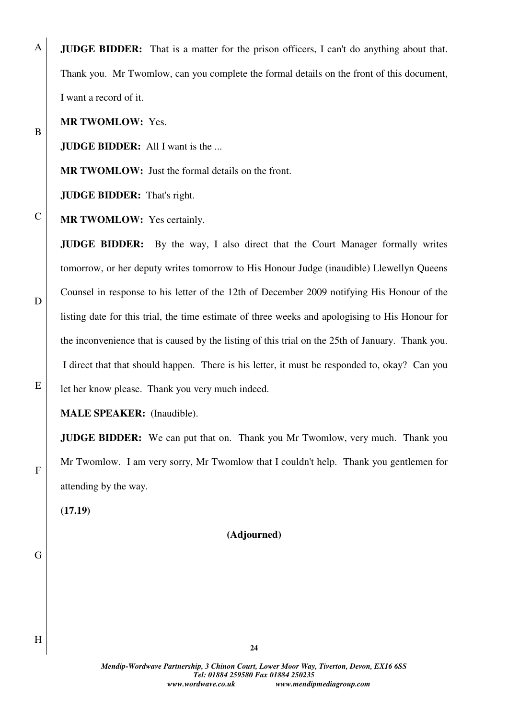**JUDGE BIDDER:** That is a matter for the prison officers, I can't do anything about that. Thank you. Mr Twomlow, can you complete the formal details on the front of this document, I want a record of it.

**MR TWOMLOW:** Yes.

A

B

D

E

F

**JUDGE BIDDER:** All I want is the ...

**MR TWOMLOW:** Just the formal details on the front.

**JUDGE BIDDER:** That's right.

C **MR TWOMLOW:** Yes certainly.

> **JUDGE BIDDER:** By the way, I also direct that the Court Manager formally writes tomorrow, or her deputy writes tomorrow to His Honour Judge (inaudible) Llewellyn Queens Counsel in response to his letter of the 12th of December 2009 notifying His Honour of the listing date for this trial, the time estimate of three weeks and apologising to His Honour for the inconvenience that is caused by the listing of this trial on the 25th of January. Thank you. I direct that that should happen. There is his letter, it must be responded to, okay? Can you let her know please. Thank you very much indeed.

**MALE SPEAKER:** (Inaudible).

**JUDGE BIDDER:** We can put that on. Thank you Mr Twomlow, very much. Thank you Mr Twomlow. I am very sorry, Mr Twomlow that I couldn't help. Thank you gentlemen for attending by the way.

**(17.19)** 

## **(Adjourned)**

G

H

*Mendip-Wordwave Partnership, 3 Chinon Court, Lower Moor Way, Tiverton, Devon, EX16 6SS Tel: 01884 259580 Fax 01884 250235 www.wordwave.co.uk www.mendipmediagroup.com*